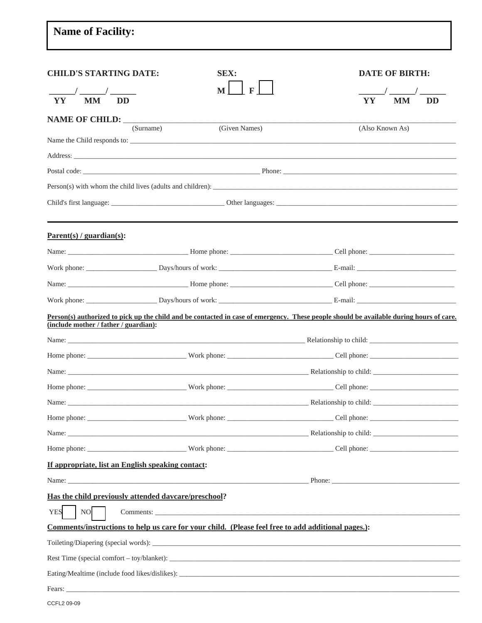## **Name of Facility: CHILD'S STARTING DATE:** SEX: **DATE OF BIRTH:**  $\overline{\mathbf{M}}$  $\mathbf{F}$  $\frac{1}{\text{YY}}$   $\frac{1}{\text{MM}}$   $\frac{1}{\text{DD}}$  $\overline{\text{MM}}$ YY **NAME OF CHILD:** (Surname) (Given Names) (Also Known As) Name the Child responds to: \_\_ Address:  $\blacksquare$  Phone: Postal code: Person(s) with whom the child lives (adults and children): \_\_\_\_\_\_\_\_\_\_\_\_\_\_\_\_\_\_\_\_\_\_ Child's first le  $O^{thor1c}$

 $\frac{1}{\sqrt{D}}$ 

| $\text{Parent}(s)$ / guardian(s):     |                                                                                                    |                                                                                                                                         |  |
|---------------------------------------|----------------------------------------------------------------------------------------------------|-----------------------------------------------------------------------------------------------------------------------------------------|--|
|                                       |                                                                                                    |                                                                                                                                         |  |
|                                       |                                                                                                    |                                                                                                                                         |  |
|                                       |                                                                                                    |                                                                                                                                         |  |
|                                       |                                                                                                    |                                                                                                                                         |  |
| (include mother / father / guardian): |                                                                                                    | Person(s) authorized to pick up the child and be contacted in case of emergency. These people should be available during hours of care. |  |
|                                       |                                                                                                    |                                                                                                                                         |  |
|                                       |                                                                                                    |                                                                                                                                         |  |
|                                       |                                                                                                    |                                                                                                                                         |  |
|                                       |                                                                                                    |                                                                                                                                         |  |
|                                       |                                                                                                    |                                                                                                                                         |  |
|                                       |                                                                                                    |                                                                                                                                         |  |
|                                       |                                                                                                    |                                                                                                                                         |  |
|                                       |                                                                                                    |                                                                                                                                         |  |
|                                       | If appropriate, list an English speaking contact:                                                  |                                                                                                                                         |  |
|                                       |                                                                                                    |                                                                                                                                         |  |
|                                       | Has the child previously attended davcare/preschool?                                               |                                                                                                                                         |  |
| <b>YES</b><br>$NO$                    |                                                                                                    |                                                                                                                                         |  |
|                                       | Comments/instructions to help us care for your child. (Please feel free to add additional pages.): |                                                                                                                                         |  |
|                                       |                                                                                                    |                                                                                                                                         |  |
|                                       |                                                                                                    |                                                                                                                                         |  |
|                                       | Eating/Mealtime (include food likes/dislikes):                                                     |                                                                                                                                         |  |
| Fears:                                |                                                                                                    |                                                                                                                                         |  |